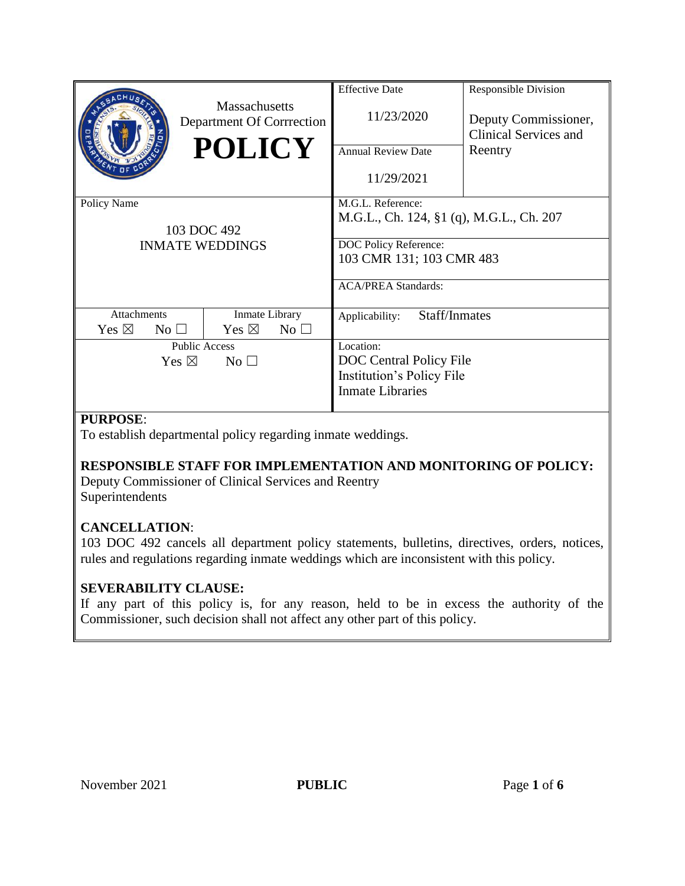|                                                             | <b>Massachusetts</b><br>Department Of Corrrection<br><b>POLICY</b> | <b>Effective Date</b><br>11/23/2020<br><b>Annual Review Date</b><br>11/29/2021                                                                   | <b>Responsible Division</b><br>Deputy Commissioner,<br>Clinical Services and<br>Reentry |
|-------------------------------------------------------------|--------------------------------------------------------------------|--------------------------------------------------------------------------------------------------------------------------------------------------|-----------------------------------------------------------------------------------------|
| Policy Name<br>103 DOC 492<br><b>INMATE WEDDINGS</b>        |                                                                    | M.G.L. Reference:<br>M.G.L., Ch. 124, §1 (q), M.G.L., Ch. 207<br>DOC Policy Reference:<br>103 CMR 131; 103 CMR 483<br><b>ACA/PREA Standards:</b> |                                                                                         |
| <b>Attachments</b><br>Yes $\boxtimes$<br>$\rm No \ \square$ | Inmate Library<br>Yes $\boxtimes$<br>$No$ $\square$                | Staff/Inmates<br>Applicability:                                                                                                                  |                                                                                         |
| <b>Public Access</b><br>Yes $\boxtimes$<br>No <sub>1</sub>  |                                                                    | Location:<br>DOC Central Policy File<br>Institution's Policy File<br><b>Inmate Libraries</b>                                                     |                                                                                         |

# **PURPOSE**:

To establish departmental policy regarding inmate weddings.

## **RESPONSIBLE STAFF FOR IMPLEMENTATION AND MONITORING OF POLICY:**

Deputy Commissioner of Clinical Services and Reentry Superintendents

# **CANCELLATION**:

103 DOC 492 cancels all department policy statements, bulletins, directives, orders, notices, rules and regulations regarding inmate weddings which are inconsistent with this policy.

# **SEVERABILITY CLAUSE:**

If any part of this policy is, for any reason, held to be in excess the authority of the Commissioner, such decision shall not affect any other part of this policy.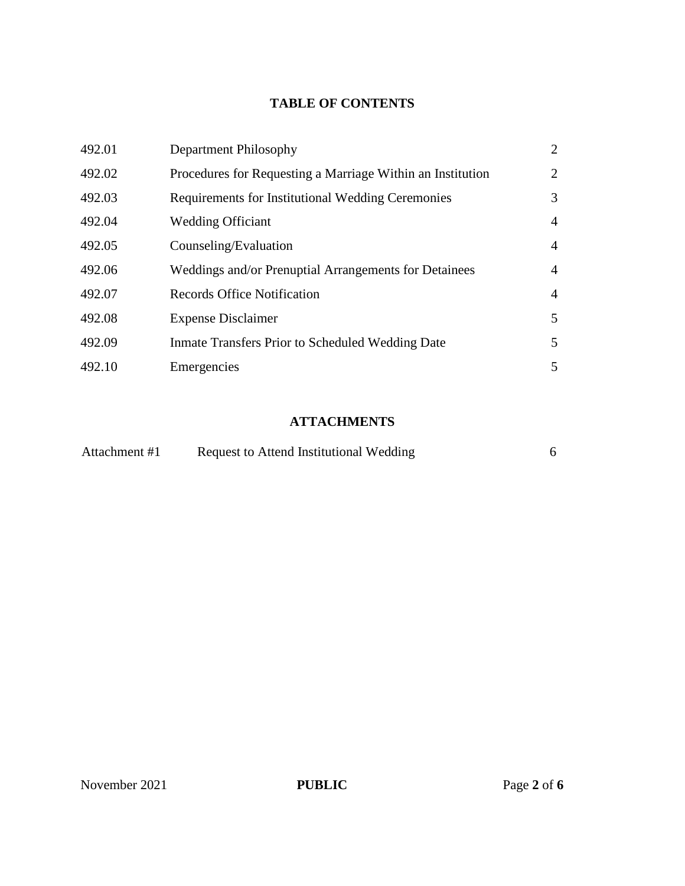## **TABLE OF CONTENTS**

| 492.01 | Department Philosophy                                      | $\overline{2}$ |
|--------|------------------------------------------------------------|----------------|
| 492.02 | Procedures for Requesting a Marriage Within an Institution | $\overline{2}$ |
| 492.03 | <b>Requirements for Institutional Wedding Ceremonies</b>   | 3              |
| 492.04 | <b>Wedding Officiant</b>                                   | $\overline{4}$ |
| 492.05 | Counseling/Evaluation                                      | $\overline{4}$ |
| 492.06 | Weddings and/or Prenuptial Arrangements for Detainees      | $\overline{4}$ |
| 492.07 | <b>Records Office Notification</b>                         | $\overline{4}$ |
| 492.08 | <b>Expense Disclaimer</b>                                  | 5              |
| 492.09 | Inmate Transfers Prior to Scheduled Wedding Date           | 5              |
| 492.10 | Emergencies                                                | 5              |

# **ATTACHMENTS**

| Attachment #1 | Request to Attend Institutional Wedding |  |  |
|---------------|-----------------------------------------|--|--|
|---------------|-----------------------------------------|--|--|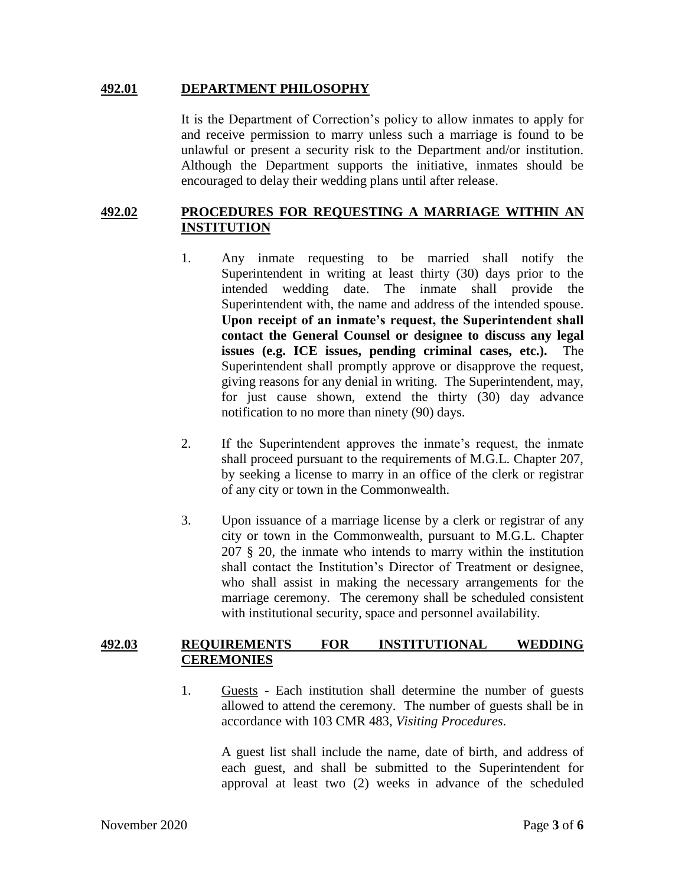#### **492.01 DEPARTMENT PHILOSOPHY**

It is the Department of Correction's policy to allow inmates to apply for and receive permission to marry unless such a marriage is found to be unlawful or present a security risk to the Department and/or institution. Although the Department supports the initiative, inmates should be encouraged to delay their wedding plans until after release.

## **492.02 PROCEDURES FOR REQUESTING A MARRIAGE WITHIN AN INSTITUTION**

- 1. Any inmate requesting to be married shall notify the Superintendent in writing at least thirty (30) days prior to the intended wedding date. The inmate shall provide the Superintendent with, the name and address of the intended spouse. **Upon receipt of an inmate's request, the Superintendent shall contact the General Counsel or designee to discuss any legal issues (e.g. ICE issues, pending criminal cases, etc.).** The Superintendent shall promptly approve or disapprove the request, giving reasons for any denial in writing. The Superintendent, may, for just cause shown, extend the thirty (30) day advance notification to no more than ninety (90) days.
- 2. If the Superintendent approves the inmate's request, the inmate shall proceed pursuant to the requirements of M.G.L. Chapter 207, by seeking a license to marry in an office of the clerk or registrar of any city or town in the Commonwealth.
- 3. Upon issuance of a marriage license by a clerk or registrar of any city or town in the Commonwealth, pursuant to M.G.L. Chapter 207 § 20, the inmate who intends to marry within the institution shall contact the Institution's Director of Treatment or designee, who shall assist in making the necessary arrangements for the marriage ceremony. The ceremony shall be scheduled consistent with institutional security, space and personnel availability.

### **492.03 REQUIREMENTS FOR INSTITUTIONAL WEDDING CEREMONIES**

1. Guests - Each institution shall determine the number of guests allowed to attend the ceremony. The number of guests shall be in accordance with 103 CMR 483, *Visiting Procedures*.

> A guest list shall include the name, date of birth, and address of each guest, and shall be submitted to the Superintendent for approval at least two (2) weeks in advance of the scheduled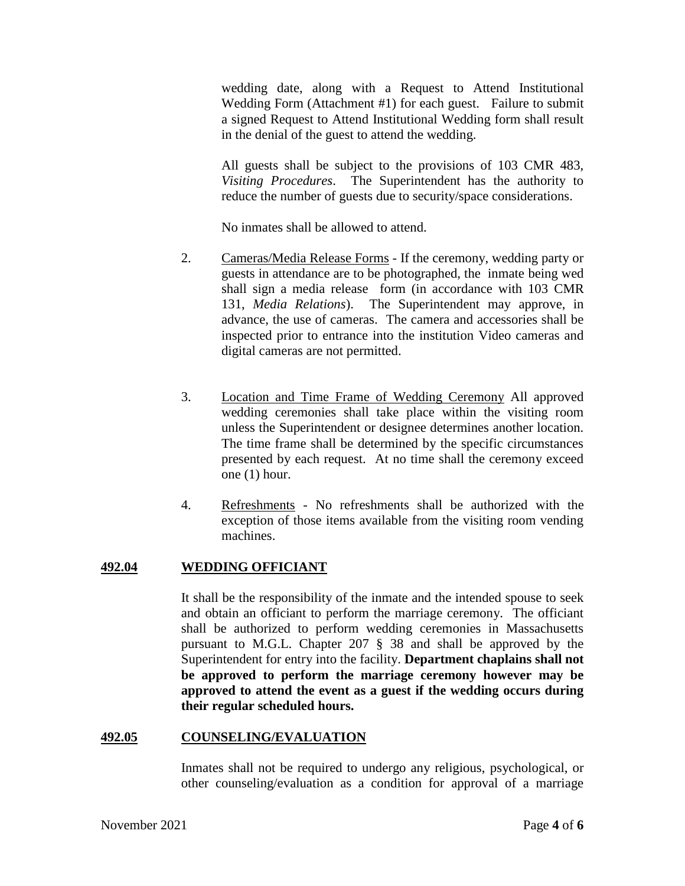wedding date, along with a Request to Attend Institutional Wedding Form (Attachment #1) for each guest. Failure to submit a signed Request to Attend Institutional Wedding form shall result in the denial of the guest to attend the wedding.

All guests shall be subject to the provisions of 103 CMR 483, *Visiting Procedures*. The Superintendent has the authority to reduce the number of guests due to security/space considerations.

No inmates shall be allowed to attend.

- 2. Cameras/Media Release Forms If the ceremony, wedding party or guests in attendance are to be photographed, the inmate being wed shall sign a media release form (in accordance with 103 CMR 131, *Media Relations*). The Superintendent may approve, in advance, the use of cameras. The camera and accessories shall be inspected prior to entrance into the institution Video cameras and digital cameras are not permitted.
- 3. Location and Time Frame of Wedding Ceremony All approved wedding ceremonies shall take place within the visiting room unless the Superintendent or designee determines another location. The time frame shall be determined by the specific circumstances presented by each request. At no time shall the ceremony exceed one (1) hour.
- 4. Refreshments No refreshments shall be authorized with the exception of those items available from the visiting room vending machines.

## **492.04 WEDDING OFFICIANT**

It shall be the responsibility of the inmate and the intended spouse to seek and obtain an officiant to perform the marriage ceremony. The officiant shall be authorized to perform wedding ceremonies in Massachusetts pursuant to M.G.L. Chapter 207 § 38 and shall be approved by the Superintendent for entry into the facility. **Department chaplains shall not be approved to perform the marriage ceremony however may be approved to attend the event as a guest if the wedding occurs during their regular scheduled hours.** 

## **492.05 COUNSELING/EVALUATION**

Inmates shall not be required to undergo any religious, psychological, or other counseling/evaluation as a condition for approval of a marriage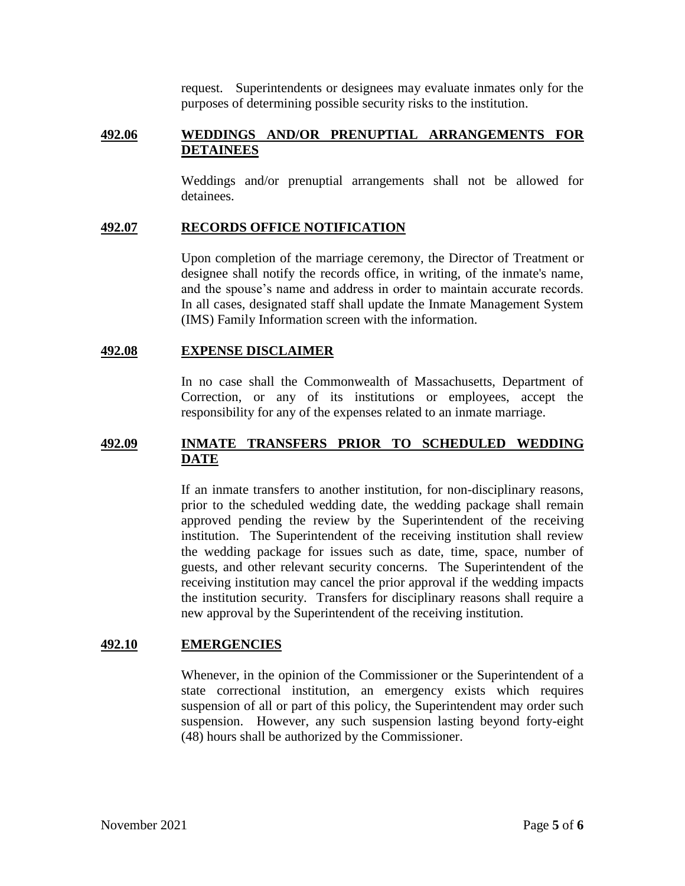request. Superintendents or designees may evaluate inmates only for the purposes of determining possible security risks to the institution.

### **492.06 WEDDINGS AND/OR PRENUPTIAL ARRANGEMENTS FOR DETAINEES**

Weddings and/or prenuptial arrangements shall not be allowed for detainees.

### **492.07 RECORDS OFFICE NOTIFICATION**

Upon completion of the marriage ceremony, the Director of Treatment or designee shall notify the records office, in writing, of the inmate's name, and the spouse's name and address in order to maintain accurate records. In all cases, designated staff shall update the Inmate Management System (IMS) Family Information screen with the information.

#### **492.08 EXPENSE DISCLAIMER**

In no case shall the Commonwealth of Massachusetts, Department of Correction, or any of its institutions or employees, accept the responsibility for any of the expenses related to an inmate marriage.

## **492.09 INMATE TRANSFERS PRIOR TO SCHEDULED WEDDING DATE**

If an inmate transfers to another institution, for non-disciplinary reasons, prior to the scheduled wedding date, the wedding package shall remain approved pending the review by the Superintendent of the receiving institution. The Superintendent of the receiving institution shall review the wedding package for issues such as date, time, space, number of guests, and other relevant security concerns. The Superintendent of the receiving institution may cancel the prior approval if the wedding impacts the institution security. Transfers for disciplinary reasons shall require a new approval by the Superintendent of the receiving institution.

### **492.10 EMERGENCIES**

Whenever, in the opinion of the Commissioner or the Superintendent of a state correctional institution, an emergency exists which requires suspension of all or part of this policy, the Superintendent may order such suspension. However, any such suspension lasting beyond forty-eight (48) hours shall be authorized by the Commissioner.